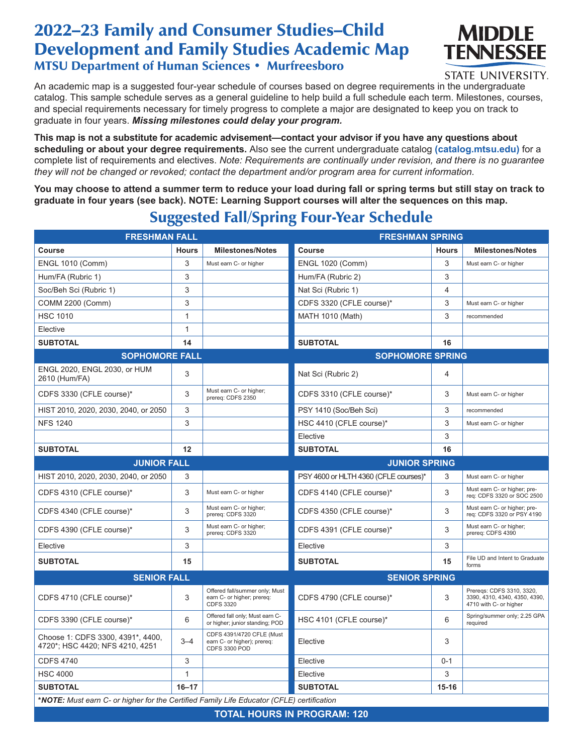## 2022–23 Family and Consumer Studies–Child Development and Family Studies Academic Map MTSU Department of Human Sciences • Murfreesboro



STATE UNIVERSITY.

An academic map is a suggested four-year schedule of courses based on degree requirements in the undergraduate catalog. This sample schedule serves as a general guideline to help build a full schedule each term. Milestones, courses, and special requirements necessary for timely progress to complete a major are designated to keep you on track to graduate in four years. *Missing milestones could delay your program.*

**This map is not a substitute for academic advisement—contact your advisor if you have any questions about scheduling or about your degree requirements.** Also see the current undergraduate catalog **(catalog.mtsu.edu)** for a complete list of requirements and electives. *Note: Requirements are continually under revision, and there is no guarantee they will not be changed or revoked; contact the department and/or program area for current information.*

**You may choose to attend a summer term to reduce your load during fall or spring terms but still stay on track to graduate in four years (see back). NOTE: Learning Support courses will alter the sequences on this map.**

## Suggested Fall/Spring Four-Year Schedule

| <b>FRESHMAN FALL</b>                                                                      |              | <b>FRESHMAN SPRING</b>                                                           |                                       |              |                                                                                      |  |  |  |
|-------------------------------------------------------------------------------------------|--------------|----------------------------------------------------------------------------------|---------------------------------------|--------------|--------------------------------------------------------------------------------------|--|--|--|
| <b>Course</b>                                                                             | <b>Hours</b> | <b>Milestones/Notes</b>                                                          | <b>Course</b>                         | <b>Hours</b> | <b>Milestones/Notes</b>                                                              |  |  |  |
| <b>ENGL 1010 (Comm)</b>                                                                   | 3            | Must earn C- or higher                                                           | <b>ENGL 1020 (Comm)</b>               | 3            | Must earn C- or higher                                                               |  |  |  |
| Hum/FA (Rubric 1)                                                                         | 3            |                                                                                  | Hum/FA (Rubric 2)                     | 3            |                                                                                      |  |  |  |
| Soc/Beh Sci (Rubric 1)                                                                    | 3            |                                                                                  | Nat Sci (Rubric 1)                    | 4            |                                                                                      |  |  |  |
| COMM 2200 (Comm)                                                                          | 3            |                                                                                  | CDFS 3320 (CFLE course)*              | 3            | Must earn C- or higher                                                               |  |  |  |
| <b>HSC 1010</b>                                                                           | $\mathbf{1}$ |                                                                                  | MATH 1010 (Math)                      | 3            | recommended                                                                          |  |  |  |
| Elective                                                                                  | $\mathbf{1}$ |                                                                                  |                                       |              |                                                                                      |  |  |  |
| <b>SUBTOTAL</b>                                                                           | 14           |                                                                                  | <b>SUBTOTAL</b>                       | 16           |                                                                                      |  |  |  |
| <b>SOPHOMORE FALL</b>                                                                     |              |                                                                                  | <b>SOPHOMORE SPRING</b>               |              |                                                                                      |  |  |  |
| ENGL 2020, ENGL 2030, or HUM<br>2610 (Hum/FA)                                             | 3            |                                                                                  | Nat Sci (Rubric 2)                    | 4            |                                                                                      |  |  |  |
| CDFS 3330 (CFLE course)*                                                                  | 3            | Must earn C- or higher;<br>prereq: CDFS 2350                                     | CDFS 3310 (CFLE course)*              | 3            | Must earn C- or higher                                                               |  |  |  |
| HIST 2010, 2020, 2030, 2040, or 2050                                                      | 3            |                                                                                  | PSY 1410 (Soc/Beh Sci)                | 3            | recommended                                                                          |  |  |  |
| <b>NFS 1240</b>                                                                           | 3            |                                                                                  | HSC 4410 (CFLE course)*               | 3            | Must earn C- or higher                                                               |  |  |  |
|                                                                                           |              |                                                                                  | Elective                              | 3            |                                                                                      |  |  |  |
| <b>SUBTOTAL</b>                                                                           | 12           |                                                                                  | <b>SUBTOTAL</b>                       | 16           |                                                                                      |  |  |  |
| <b>JUNIOR FALL</b>                                                                        |              | <b>JUNIOR SPRING</b>                                                             |                                       |              |                                                                                      |  |  |  |
| HIST 2010, 2020, 2030, 2040, or 2050                                                      | 3            |                                                                                  | PSY 4600 or HLTH 4360 (CFLE courses)* | 3            | Must earn C- or higher                                                               |  |  |  |
| CDFS 4310 (CFLE course)*                                                                  | 3            | Must earn C- or higher                                                           | CDFS 4140 (CFLE course)*              | 3            | Must earn C- or higher; pre-<br>req: CDFS 3320 or SOC 2500                           |  |  |  |
| CDFS 4340 (CFLE course)*                                                                  | 3            | Must earn C- or higher;<br>prereq: CDFS 3320                                     | CDFS 4350 (CFLE course)*              | 3            | Must earn C- or higher; pre-<br>req: CDFS 3320 or PSY 4190                           |  |  |  |
| CDFS 4390 (CFLE course)*                                                                  | 3            | Must earn C- or higher;<br>prereq: CDFS 3320                                     | CDFS 4391 (CFLE course)*              | 3            | Must earn C- or higher;<br>prereq: CDFS 4390                                         |  |  |  |
| Elective                                                                                  | 3            |                                                                                  | Elective                              | 3            |                                                                                      |  |  |  |
| <b>SUBTOTAL</b>                                                                           | 15           |                                                                                  | <b>SUBTOTAL</b>                       | 15           | File UD and Intent to Graduate<br>forms                                              |  |  |  |
| <b>SENIOR FALL</b>                                                                        |              |                                                                                  | <b>SENIOR SPRING</b>                  |              |                                                                                      |  |  |  |
| CDFS 4710 (CFLE course)*                                                                  | 3            | Offered fall/summer only; Must<br>earn C- or higher; prereq:<br><b>CDFS 3320</b> | CDFS 4790 (CFLE course)*              | 3            | Preregs: CDFS 3310, 3320,<br>3390, 4310, 4340, 4350, 4390,<br>4710 with C- or higher |  |  |  |
| CDFS 3390 (CFLE course)*                                                                  | 6            | Offered fall only; Must earn C-<br>or higher; junior standing; POD               | HSC 4101 (CFLE course)*               | 6            | Spring/summer only; 2.25 GPA<br>required                                             |  |  |  |
| Choose 1: CDFS 3300, 4391*, 4400,<br>4720*; HSC 4420; NFS 4210, 4251                      | $3 - 4$      | CDFS 4391/4720 CFLE (Must<br>earn C- or higher); prereq:<br>CDFS 3300 POD        | Elective                              | 3            |                                                                                      |  |  |  |
| <b>CDFS 4740</b>                                                                          | 3            |                                                                                  | Elective                              | $0 - 1$      |                                                                                      |  |  |  |
| <b>HSC 4000</b>                                                                           | 1            |                                                                                  | Elective                              | 3            |                                                                                      |  |  |  |
| <b>SUBTOTAL</b>                                                                           | $16 - 17$    |                                                                                  | <b>SUBTOTAL</b>                       | $15-16$      |                                                                                      |  |  |  |
| *NOTE: Must earn C- or higher for the Certified Family Life Educator (CFLE) certification |              |                                                                                  |                                       |              |                                                                                      |  |  |  |
| <b>TOTAL HOURS IN PROGRAM: 120</b>                                                        |              |                                                                                  |                                       |              |                                                                                      |  |  |  |